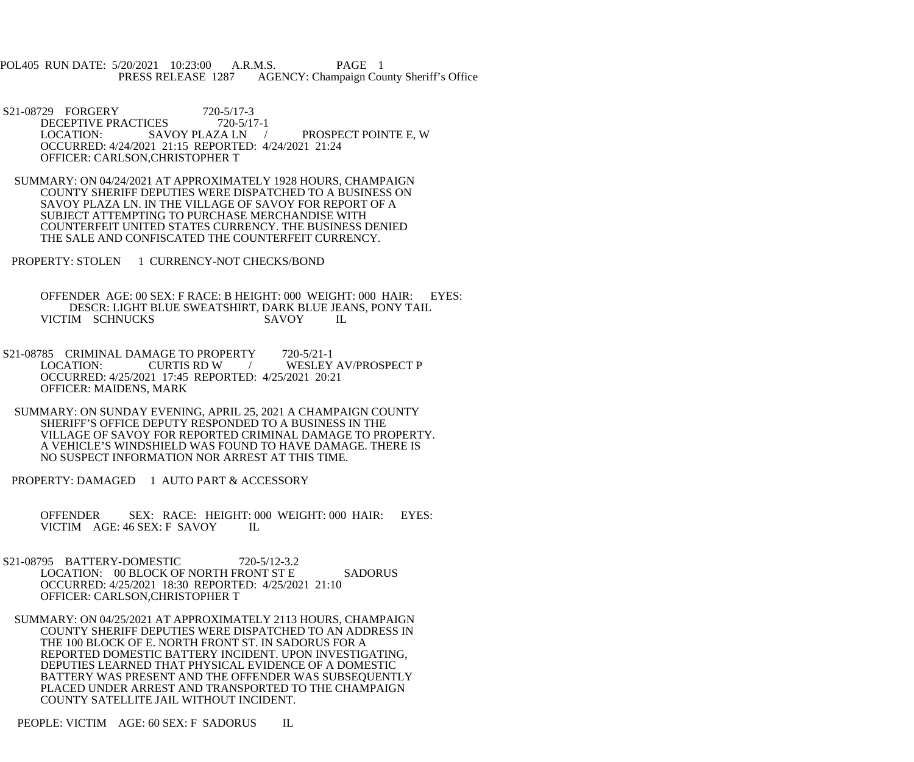POL405 RUN DATE: 5/20/2021 10:23:00 A.R.M.S. PAGE 1<br>PRESS RELEASE 1287 AGENCY: Champaign Cou AGENCY: Champaign County Sheriff's Office

- S21-08729 FORGERY 720-5/17-3<br>DECEPTIVE PRACTICES 720-5/17-1 DECEPTIVE PRACTICES 720-5/17-1 LOCATION: SAVOY PLAZA LN / PROSPECT POINTE E, W OCCURRED: 4/24/2021 21:15 REPORTED: 4/24/2021 21:24 OFFICER: CARLSON,CHRISTOPHER T
- SUMMARY: ON 04/24/2021 AT APPROXIMATELY 1928 HOURS, CHAMPAIGN COUNTY SHERIFF DEPUTIES WERE DISPATCHED TO A BUSINESS ON SAVOY PLAZA LN. IN THE VILLAGE OF SAVOY FOR REPORT OF A SUBJECT ATTEMPTING TO PURCHASE MERCHANDISE WITH COUNTERFEIT UNITED STATES CURRENCY. THE BUSINESS DENIED THE SALE AND CONFISCATED THE COUNTERFEIT CURRENCY.
- PROPERTY: STOLEN 1 CURRENCY-NOT CHECKS/BOND
	- OFFENDER AGE: 00 SEX: F RACE: B HEIGHT: 000 WEIGHT: 000 HAIR: EYES: DESCR: LIGHT BLUE SWEATSHIRT, DARK BLUE JEANS, PONY TAIL VICTIM SCHNUCKS SAVOY IL
- S21-08785 CRIMINAL DAMAGE TO PROPERTY 720-5/21-1<br>LOCATION: CURTIS RD W / WESLEY / WESLEY AV/PROSPECT P OCCURRED: 4/25/2021 17:45 REPORTED: 4/25/2021 20:21 OFFICER: MAIDENS, MARK
- SUMMARY: ON SUNDAY EVENING, APRIL 25, 2021 A CHAMPAIGN COUNTY SHERIFF'S OFFICE DEPUTY RESPONDED TO A BUSINESS IN THE VILLAGE OF SAVOY FOR REPORTED CRIMINAL DAMAGE TO PROPERTY. A VEHICLE'S WINDSHIELD WAS FOUND TO HAVE DAMAGE. THERE IS NO SUSPECT INFORMATION NOR ARREST AT THIS TIME.
- PROPERTY: DAMAGED 1 AUTO PART & ACCESSORY
	- OFFENDER SEX: RACE: HEIGHT: 000 WEIGHT: 000 HAIR: EYES: VICTIM AGE: 46 SEX: F SAVOY IL
- S21-08795 BATTERY-DOMESTIC 720-5/12-3.2 LOCATION: 00 BLOCK OF NORTH FRONT ST E SADORUS OCCURRED: 4/25/2021 18:30 REPORTED: 4/25/2021 21:10 OFFICER: CARLSON,CHRISTOPHER T
- SUMMARY: ON 04/25/2021 AT APPROXIMATELY 2113 HOURS, CHAMPAIGN COUNTY SHERIFF DEPUTIES WERE DISPATCHED TO AN ADDRESS IN THE 100 BLOCK OF E. NORTH FRONT ST. IN SADORUS FOR A REPORTED DOMESTIC BATTERY INCIDENT. UPON INVESTIGATING, DEPUTIES LEARNED THAT PHYSICAL EVIDENCE OF A DOMESTIC BATTERY WAS PRESENT AND THE OFFENDER WAS SUBSEQUENTLY PLACED UNDER ARREST AND TRANSPORTED TO THE CHAMPAIGN COUNTY SATELLITE JAIL WITHOUT INCIDENT.

PEOPLE: VICTIM AGE: 60 SEX: F SADORUS IL